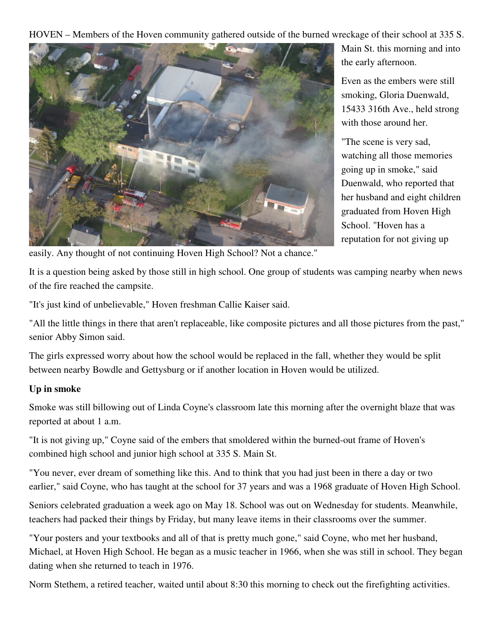HOVEN – Members of the Hoven community gathered outside of the burned wreckage of their school at 335 S.



Main St. this morning and into the early afternoon.

Even as the embers were still smoking, Gloria Duenwald, 15433 316th Ave., held strong with those around her.

"The scene is very sad, watching all those memories going up in smoke," said Duenwald, who reported that her husband and eight children graduated from Hoven High School. "Hoven has a reputation for not giving up

easily. Any thought of not continuing Hoven High School? Not a chance."

It is a question being asked by those still in high school. One group of students was camping nearby when news of the fire reached the campsite.

"It's just kind of unbelievable," Hoven freshman Callie Kaiser said.

"All the little things in there that aren't replaceable, like composite pictures and all those pictures from the past," senior Abby Simon said.

The girls expressed worry about how the school would be replaced in the fall, whether they would be split between nearby Bowdle and Gettysburg or if another location in Hoven would be utilized.

## **Up in smoke**

Smoke was still billowing out of Linda Coyne's classroom late this morning after the overnight blaze that was reported at about 1 a.m.

"It is not giving up," Coyne said of the embers that smoldered within the burned-out frame of Hoven's combined high school and junior high school at 335 S. Main St.

"You never, ever dream of something like this. And to think that you had just been in there a day or two earlier," said Coyne, who has taught at the school for 37 years and was a 1968 graduate of Hoven High School.

Seniors celebrated graduation a week ago on May 18. School was out on Wednesday for students. Meanwhile, teachers had packed their things by Friday, but many leave items in their classrooms over the summer.

"Your posters and your textbooks and all of that is pretty much gone," said Coyne, who met her husband, Michael, at Hoven High School. He began as a music teacher in 1966, when she was still in school. They began dating when she returned to teach in 1976.

Norm Stethem, a retired teacher, waited until about 8:30 this morning to check out the firefighting activities.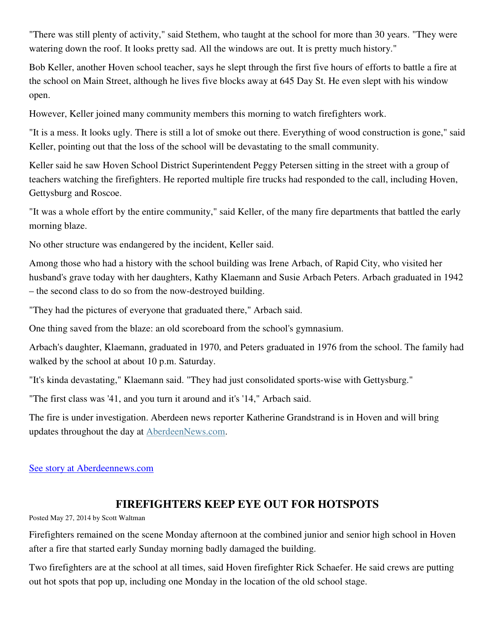"There was still plenty of activity," said Stethem, who taught at the school for more than 30 years. "They were watering down the roof. It looks pretty sad. All the windows are out. It is pretty much history."

Bob Keller, another Hoven school teacher, says he slept through the first five hours of efforts to battle a fire at the school on Main Street, although he lives five blocks away at 645 Day St. He even slept with his window open.

However, Keller joined many community members this morning to watch firefighters work.

"It is a mess. It looks ugly. There is still a lot of smoke out there. Everything of wood construction is gone," said Keller, pointing out that the loss of the school will be devastating to the small community.

Keller said he saw Hoven School District Superintendent Peggy Petersen sitting in the street with a group of teachers watching the firefighters. He reported multiple fire trucks had responded to the call, including Hoven, Gettysburg and Roscoe.

"It was a whole effort by the entire community," said Keller, of the many fire departments that battled the early morning blaze.

No other structure was endangered by the incident, Keller said.

Among those who had a history with the school building was Irene Arbach, of Rapid City, who visited her husband's grave today with her daughters, Kathy Klaemann and Susie Arbach Peters. Arbach graduated in 1942 – the second class to do so from the now-destroyed building.

"They had the pictures of everyone that graduated there," Arbach said.

One thing saved from the blaze: an old scoreboard from the school's gymnasium.

Arbach's daughter, Klaemann, graduated in 1970, and Peters graduated in 1976 from the school. The family had walked by the school at about 10 p.m. Saturday.

"It's kinda devastating," Klaemann said. "They had just consolidated sports-wise with Gettysburg."

"The first class was '41, and you turn it around and it's '14," Arbach said.

The fire is under investigation. Aberdeen news reporter Katherine Grandstrand is in Hoven and will bring updates throughout the day at AberdeenNews.com.

## See story at Aberdeennews.com

## **FIREFIGHTERS KEEP EYE OUT FOR HOTSPOTS**

Posted May 27, 2014 by Scott Waltman

Firefighters remained on the scene Monday afternoon at the combined junior and senior high school in Hoven after a fire that started early Sunday morning badly damaged the building.

Two firefighters are at the school at all times, said Hoven firefighter Rick Schaefer. He said crews are putting out hot spots that pop up, including one Monday in the location of the old school stage.